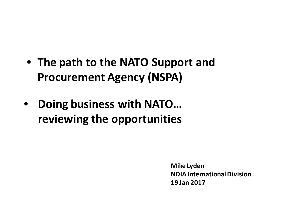- **The path to the NATO Support and Procurement Agency (NSPA)**
- **Doing business with NATO… reviewing the opportunities**

**Mike Lyden NDIA International Division 19 Jan 2017**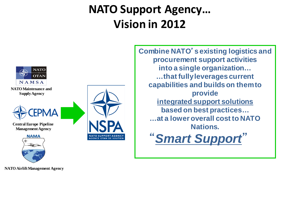## **NATO Support Agency… Vision in 2012**

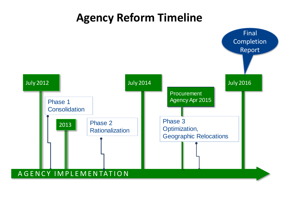## **Agency Reform Timeline**

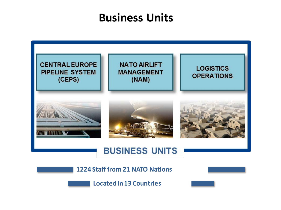#### **Business Units**



**1224 Staff from 21 NATO Nations**



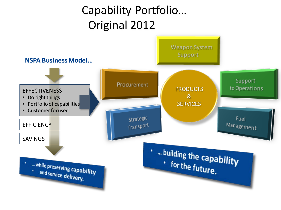# Capability Portfolio… Original 2012

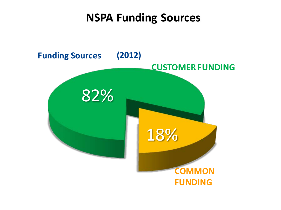#### **NSPA Funding Sources**

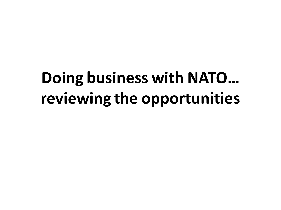# **Doing business with NATO… reviewing the opportunities**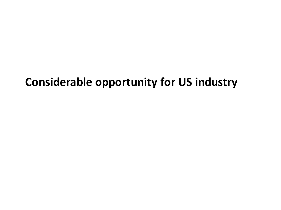#### **Considerable opportunity for US industry**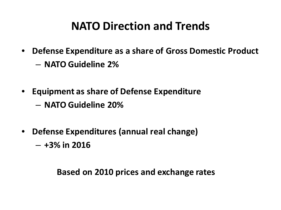## **NATO Direction and Trends**

- **Defense Expenditure as a share of Gross Domestic Product** 
	- **NATO Guideline 2%**
- **Equipment as share of Defense Expenditure** 
	- **NATO Guideline 20%**
- **Defense Expenditures (annual real change)**

– **+3% in 2016**

 **Based on 2010 prices and exchange rates**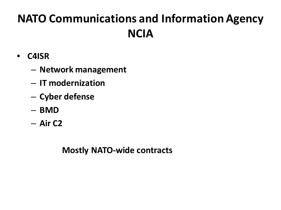# **NATO Communications and Information Agency NCIA**

- **C4ISR**
	- **Network management**
	- **IT modernization**
	- **Cyber defense**
	- **BMD**
	- **Air C2**

 **Mostly NATO-wide contracts**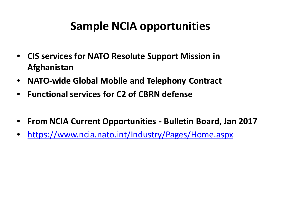#### **Sample NCIA opportunities**

- **CIS services for NATO Resolute Support Mission in Afghanistan**
- **NATO-wide Global Mobile and Telephony Contract**
- **Functional services for C2 of CBRN defense**
- **From NCIA Current Opportunities - Bulletin Board, Jan 2017**
- <https://www.ncia.nato.int/Industry/Pages/Home.aspx>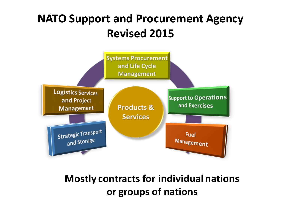## **NATO Support and Procurement Agency Revised 2015**



**Mostly contracts for individual nations or groups of nations**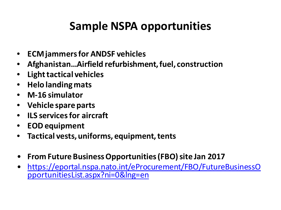## **Sample NSPA opportunities**

- **ECM jammers for ANDSF vehicles**
- **Afghanistan…Airfield refurbishment, fuel, construction**
- **Light tactical vehicles**
- **Helo landing mats**
- **M-16 simulator**
- **Vehicle spare parts**
- **ILS services for aircraft**
- **EOD equipment**
- **Tactical vests, uniforms, equipment, tents**
- **From Future Business Opportunities (FBO) site Jan 2017**
- [https://eportal.nspa.nato.int/eProcurement/FBO/FutureBusinessO](https://eportal.nspa.nato.int/eProcurement/FBO/FutureBusinessOpportunitiesList.aspx?ni=0&lng=en) [pportunitiesList.aspx?ni=0&lng=en](https://eportal.nspa.nato.int/eProcurement/FBO/FutureBusinessOpportunitiesList.aspx?ni=0&lng=en)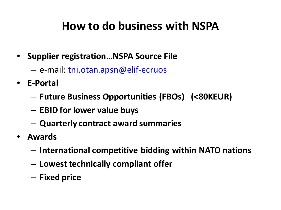### **How to do business with NSPA**

- **Supplier registration…NSPA Source File**
	- e-mail: [tni.otan.apsn@elif-ecruos](mailto:source-file@nspa.nato.int)
- **E-Portal**
	- **Future Business Opportunities (FBOs) (<80KEUR)**
	- **EBID for lower value buys**
	- **Quarterly contract award summaries**
- **Awards**
	- **International competitive bidding within NATO nations**
	- **Lowest technically compliant offer**
	- **Fixed price**